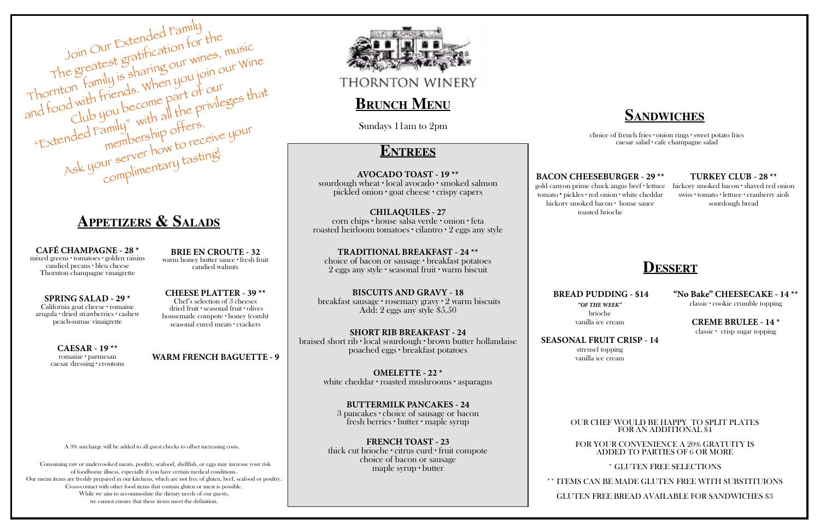# **Appetizers & Salads**

## **Sandwiches**

## **Dessert**



**CAFÉ CHAMPAGNE - 28 \*** mixed greens ∙ tomatoes ∙ golden raisins candied pecans ∙ bleu cheese Thornton champagne vinaigrette

**SPRING SALAD - 29 \*** California goat cheese ∙ romaine arugula ∙ dried strawberries ∙ cashew peach-sumac vinaigrette

> **CAESAR - 19 \*\*** romaine ∙ parmesan caesar dressing ∙ croutons

**BRIE EN CROUTE - 32** warm honey butter sauce ∙ fresh fruit candied walnuts

**CHEESE PLATTER - 39 \*\*** Chef's selection of 3 cheeses dried fruit ∙ seasonal fruit ∙ olives housemade compote ∙ honey (comb) seasonal cured meats ∙ crackers

A 3% surcharge will be added to all guest checks to offset increasing costs.

### **WARM FRENCH BAGUETTE - 9**



**THORNTON WINERY** 

## **BRUNCH MENU**

˚Consuming raw or undercooked meats, poultry, seafood, shellfish, or eggs may increase your risk of foodborne illness, especially if you have certain medical conditions. Our menu items are freshly prepared in our kitchens, which are not free of gluten, beef, seafood or poultry. Cross-contact with other food items that contain gluten or meat is possible. While we aim to accommodate the dietary needs of our guests, we cannot ensure that these items meet the definition.

### **BACON CHEESEBURGER - 29 \*\***

gold canyon prime chuck angus beef ∙ lettuce hickory smoked bacon ∙ shaved red onion tomato ∙ pickles ∙ red onion ∙ white cheddar hickory smoked bacon ∙ house sauce toasted brioche

### **TURKEY CLUB - 28 \*\***

swiss ∙ tomato ∙ lettuce ∙ cranberry aioli sourdough bread

choice of french fries ∙ onion rings ∙ sweet potato fries caesar salad ∙ cafe champagne salad

### **BREAD PUDDING - \$14**

*"OF THE WEEK"* brioche vanilla ice cream

### **SEASONAL FRUIT CRISP - 14**

streusel topping vanilla ice cream

## **"No Bake" CHEESECAKE - 14 \*\***

classic ∙ cookie crumble topping

### **CREME BRULEE - 14 \***

classic ∙ crisp sugar topping

OUR CHEF WOULD BE HAPPY TO SPLIT PLATES FOR AN ADDITIONAL \$4

FOR YOUR CONVENIENCE A 20% GRATUITY IS ADDED TO PARTIES OF 6 OR MORE

### \* GLUTEN FREE SELECTIONS

\*\* ITEMS CAN BE MADE GLUTEN FREE WITH SUBSTITUIONS

### GLUTEN FREE BREAD AVAILABLE FOR SANDWICHES \$3

## **Entrees**

**AVOCADO TOAST - 19 \*\*** sourdough wheat ∙ local avocado ∙ smoked salmon pickled onion ∙ goat cheese ∙ crispy capers

**CHILAQUILES - 27**  corn chips ∙ house salsa verde ∙ onion ∙ feta roasted heirloom tomatoes ∙ cilantro ∙ 2 eggs any style

**TRADITIONAL BREAKFAST - 24 \*\*** choice of bacon or sausage ∙ breakfast potatoes 2 eggs any style ∙ seasonal fruit ∙ warm biscuit

**BISCUITS AND GRAVY - 18** breakfast sausage ∙ rosemary gravy ∙ 2 warm biscuits Add: 2 eggs any style \$5.50

**SHORT RIB BREAKFAST - 24** braised short rib ∙ local sourdough ∙ brown butter hollandaise poached eggs ∙ breakfast potatoes

> **OMELETTE - 22 \*** white cheddar ∙ roasted mushrooms ∙ asparagus

**BUTTERMILK PANCAKES - 24** 3 pancakes ∙ choice of sausage or bacon fresh berries ∙ butter ∙ maple syrup

**FRENCH TOAST - 23** thick cut brioche ∙ citrus curd ∙ fruit compote choice of bacon or sausage maple syrup ∙ butter

Sundays 11am to 2pm